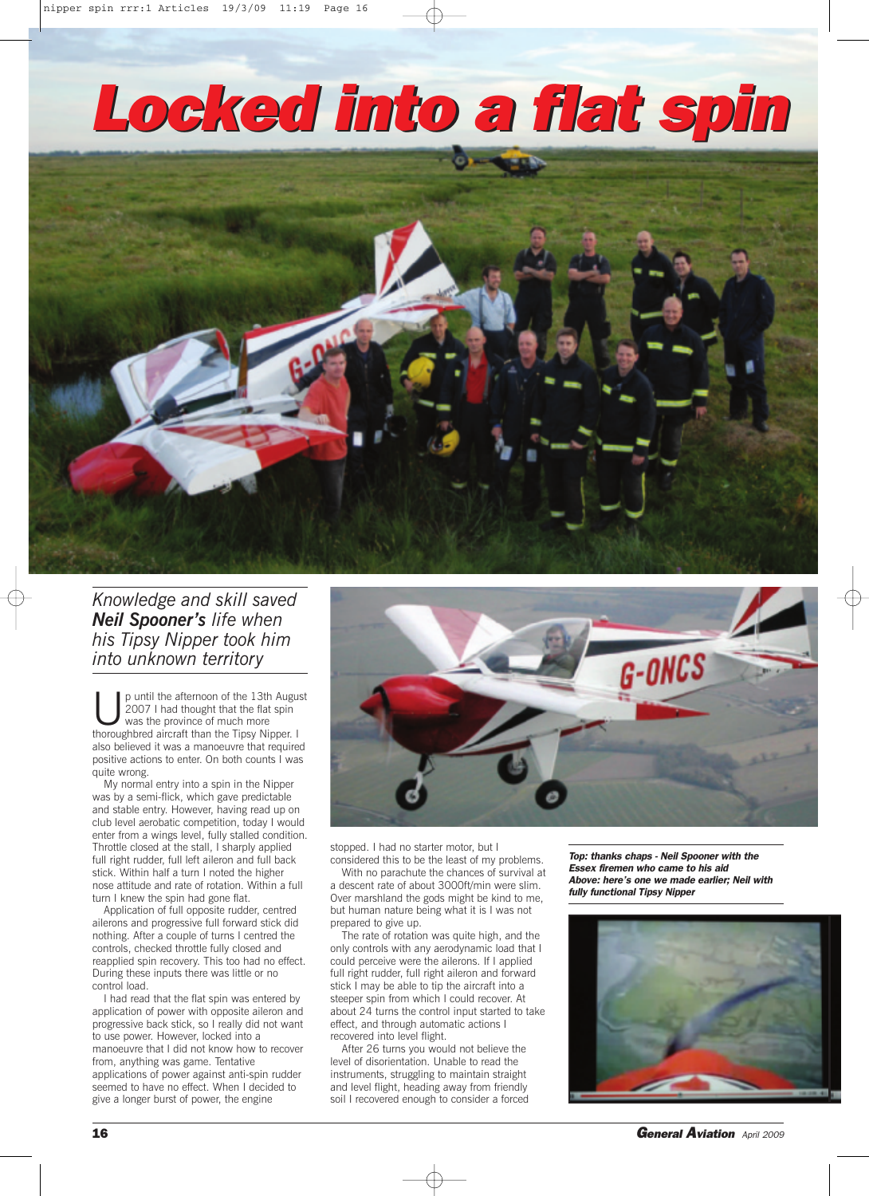## *Locked into a flat spin*



*Knowledge and skill saved Neil Spooner's life when his Tipsy Nipper took him into unknown territory*

p until the afternoon of the 13th August 2007 I had thought that the flat spin was the province of much more thoroughbred aircraft than the Tipsy Nipper. I also believed it was a manoeuvre that required positive actions to enter. On both counts I was quite wrong.

My normal entry into a spin in the Nipper was by a semi-flick, which gave predictable and stable entry. However, having read up on club level aerobatic competition, today I would enter from a wings level, fully stalled condition. Throttle closed at the stall, I sharply applied full right rudder, full left aileron and full back stick. Within half a turn I noted the higher nose attitude and rate of rotation. Within a full turn I knew the spin had gone flat.

Application of full opposite rudder, centred ailerons and progressive full forward stick did nothing. After a couple of turns I centred the controls, checked throttle fully closed and reapplied spin recovery. This too had no effect. During these inputs there was little or no control load.

I had read that the flat spin was entered by application of power with opposite aileron and progressive back stick, so I really did not want to use power. However, locked into a manoeuvre that I did not know how to recover from, anything was game. Tentative applications of power against anti-spin rudder seemed to have no effect. When I decided to give a longer burst of power, the engine



stopped. I had no starter motor, but I considered this to be the least of my problems.

With no parachute the chances of survival at a descent rate of about 3000ft/min were slim. Over marshland the gods might be kind to me, but human nature being what it is I was not prepared to give up.

The rate of rotation was quite high, and the only controls with any aerodynamic load that I could perceive were the ailerons. If I applied full right rudder, full right aileron and forward stick I may be able to tip the aircraft into a steeper spin from which I could recover. At about 24 turns the control input started to take effect, and through automatic actions I recovered into level flight.

After 26 turns you would not believe the level of disorientation. Unable to read the instruments, struggling to maintain straight and level flight, heading away from friendly soil I recovered enough to consider a forced

*Top: thanks chaps - Neil Spooner with the Essex firemen who came to his aid Above: here's one we made earlier; Neil with fully functional Tipsy Nipper*



**16** *General Aviation April <sup>2009</sup>*